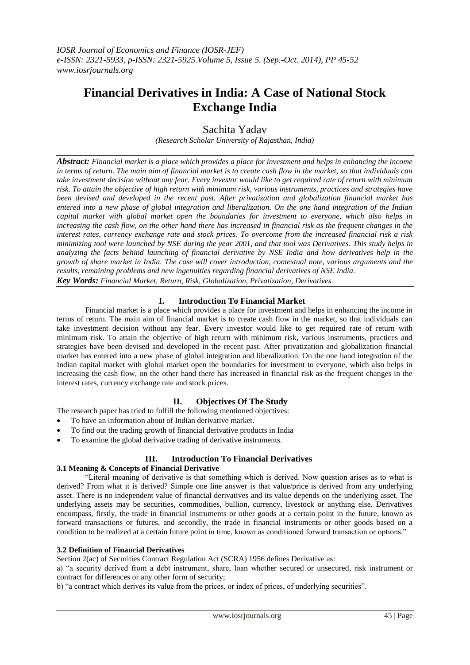# **Financial Derivatives in India: A Case of National Stock Exchange India**

Sachita Yadav

*(Research Scholar University of Rajasthan, India)*

*Abstract: Financial market is a place which provides a place for investment and helps in enhancing the income in terms of return. The main aim of financial market is to create cash flow in the market, so that individuals can take investment decision without any fear. Every investor would like to get required rate of return with minimum risk. To attain the objective of high return with minimum risk, various instruments, practices and strategies have been devised and developed in the recent past. After privatization and globalization financial market has entered into a new phase of global integration and liberalization. On the one hand integration of the Indian capital market with global market open the boundaries for investment to everyone, which also helps in increasing the cash flow, on the other hand there has increased in financial risk as the frequent changes in the interest rates, currency exchange rate and stock prices. To overcome from the increased financial risk a risk minimizing tool were launched by NSE during the year 2001, and that tool was Derivatives. This study helps in analyzing the facts behind launching of financial derivative by NSE India and how derivatives help in the growth of share market in India. The case will cover introduction, contextual note, various arguments and the results, remaining problems and new ingenuities regarding financial derivatives of NSE India. Key Words: Financial Market, Return, Risk, Globalization, Privatization, Derivatives.*

## **I. Introduction To Financial Market**

Financial market is a place which provides a place for investment and helps in enhancing the income in terms of return. The main aim of financial market is to create cash flow in the market, so that individuals can take investment decision without any fear. Every investor would like to get required rate of return with minimum risk. To attain the objective of high return with minimum risk, various instruments, practices and strategies have been devised and developed in the recent past. After privatization and globalization financial market has entered into a new phase of global integration and liberalization. On the one hand integration of the Indian capital market with global market open the boundaries for investment to everyone, which also helps in increasing the cash flow, on the other hand there has increased in financial risk as the frequent changes in the interest rates, currency exchange rate and stock prices.

## **II. Objectives Of The Study**

The research paper has tried to fulfill the following mentioned objectives:

- To have an information about of Indian derivative market.
- To find out the trading growth of financial derivative products in India
- To examine the global derivative trading of derivative instruments.

# **III. Introduction To Financial Derivatives**

## **3.1 Meaning & Concepts of Financial Derivative**

"Literal meaning of derivative is that something which is derived. Now question arises as to what is derived? From what it is derived? Simple one line answer is that value/price is derived from any underlying asset. There is no independent value of financial derivatives and its value depends on the underlying asset. The underlying assets may be securities, commodities, bullion, currency, livestock or anything else. Derivatives encompass, firstly, the trade in financial instruments or other goods at a certain point in the future, known as forward transactions or futures, and secondly, the trade in financial instruments or other goods based on a condition to be realized at a certain future point in time, known as conditioned forward transaction or options."

#### **3.2 Definition of Financial Derivatives**

Section 2(ac) of Securities Contract Regulation Act (SCRA) 1956 defines Derivative as:

a) "a security derived from a debt instrument, share, loan whether secured or unsecured, risk instrument or contract for differences or any other form of security;

b) "a contract which derives its value from the prices, or index of prices, of underlying securities".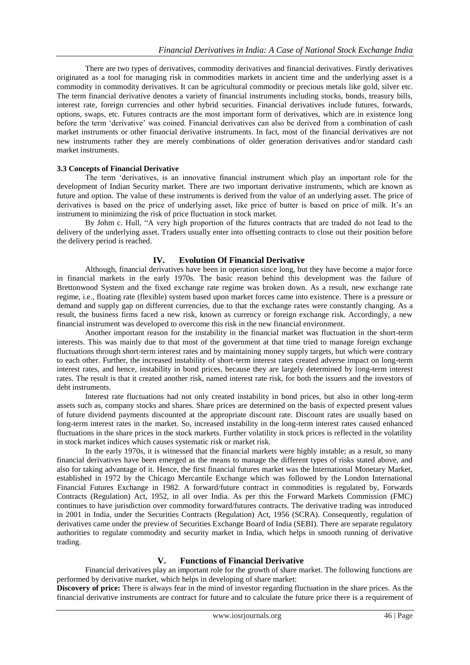There are two types of derivatives, commodity derivatives and financial derivatives. Firstly derivatives originated as a tool for managing risk in commodities markets in ancient time and the underlying asset is a commodity in commodity derivatives. It can be agricultural commodity or precious metals like gold, silver etc. The term financial derivative denotes a variety of financial instruments including stocks, bonds, treasury bills, interest rate, foreign currencies and other hybrid securities. Financial derivatives include futures, forwards, options, swaps, etc. Futures contracts are the most important form of derivatives, which are in existence long before the term "derivative" was coined. Financial derivatives can also be derived from a combination of cash market instruments or other financial derivative instruments. In fact, most of the financial derivatives are not new instruments rather they are merely combinations of older generation derivatives and/or standard cash market instruments.

## **3.3 Concepts of Financial Derivative**

The term "derivatives, is an innovative financial instrument which play an important role for the development of Indian Security market. There are two important derivative instruments, which are known as future and option. The value of these instruments is derived from the value of an underlying asset. The price of derivatives is based on the price of underlying asset, like price of butter is based on price of milk. It's an instrument to minimizing the risk of price fluctuation in stock market.

By Johm c. Hull, "A very high proportion of the futures contracts that are traded do not lead to the delivery of the underlying asset. Traders usually enter into offsetting contracts to close out their position before the delivery period is reached.

## **IV. Evolution Of Financial Derivative**

Although, financial derivatives have been in operation since long, but they have become a major force in financial markets in the early 1970s. The basic reason behind this development was the failure of Brettonwood System and the fixed exchange rate regime was broken down. As a result, new exchange rate regime, i.e., floating rate (flexible) system based upon market forces came into existence. There is a pressure or demand and supply gap on different currencies, due to that the exchange rates were constantly changing. As a result, the business firms faced a new risk, known as currency or foreign exchange risk. Accordingly, a new financial instrument was developed to overcome this risk in the new financial environment.

Another important reason for the instability in the financial market was fluctuation in the short-term interests. This was mainly due to that most of the government at that time tried to manage foreign exchange fluctuations through short-term interest rates and by maintaining money supply targets, but which were contrary to each other. Further, the increased instability of short-term interest rates created adverse impact on long-term interest rates, and hence, instability in bond prices, because they are largely determined by long-term interest rates. The result is that it created another risk, named interest rate risk, for both the issuers and the investors of debt instruments.

Interest rate fluctuations had not only created instability in bond prices, but also in other long-term assets such as, company stocks and shares. Share prices are determined on the basis of expected present values of future dividend payments discounted at the appropriate discount rate. Discount rates are usually based on long-term interest rates in the market. So, increased instability in the long-term interest rates caused enhanced fluctuations in the share prices in the stock markets. Further volatility in stock prices is reflected in the volatility in stock market indices which causes systematic risk or market risk.

In the early 1970s, it is witnessed that the financial markets were highly instable; as a result, so many financial derivatives have been emerged as the means to manage the different types of risks stated above, and also for taking advantage of it. Hence, the first financial futures market was the International Monetary Market, established in 1972 by the Chicago Mercantile Exchange which was followed by the London International Financial Futures Exchange in 1982. A forward/future contract in commodities is regulated by, Forwards Contracts (Regulation) Act, 1952, in all over India. As per this the Forward Markets Commission (FMC) continues to have jurisdiction over commodity forward/futures contracts. The derivative trading was introduced in 2001 in India, under the Securities Contracts (Regulation) Act, 1956 (SCRA). Consequently, regulation of derivatives came under the preview of Securities Exchange Board of India (SEBI). There are separate regulatory authorities to regulate commodity and security market in India, which helps in smooth running of derivative trading.

## **V. Functions of Financial Derivative**

Financial derivatives play an important role for the growth of share market. The following functions are performed by derivative market, which helps in developing of share market:

**Discovery of price:** There is always fear in the mind of investor regarding fluctuation in the share prices. As the financial derivative instruments are contract for future and to calculate the future price there is a requirement of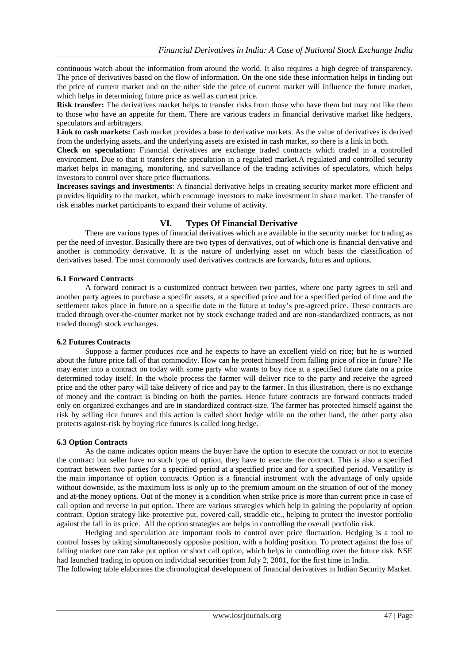continuous watch about the information from around the world. It also requires a high degree of transparency. The price of derivatives based on the flow of information. On the one side these information helps in finding out the price of current market and on the other side the price of current market will influence the future market, which helps in determining future price as well as current price.

**Risk transfer:** The derivatives market helps to transfer risks from those who have them but may not like them to those who have an appetite for them. There are various traders in financial derivative market like hedgers, speculators and arbitragers.

Link to cash markets: Cash market provides a base to derivative markets. As the value of derivatives is derived from the underlying assets, and the underlying assets are existed in cash market, so there is a link in both.

**Check on speculation:** Financial derivatives are exchange traded contracts which traded in a controlled environment. Due to that it transfers the speculation in a regulated market.A regulated and controlled security market helps in managing, monitoring, and surveillance of the trading activities of speculators, which helps investors to control over share price fluctuations.

**Increases savings and investments**: A financial derivative helps in creating security market more efficient and provides liquidity to the market, which encourage investors to make investment in share market. The transfer of risk enables market participants to expand their volume of activity.

## **VI. Types Of Financial Derivative**

There are various types of financial derivatives which are available in the security market for trading as per the need of investor. Basically there are two types of derivatives, out of which one is financial derivative and another is commodity derivative. It is the nature of underlying asset on which basis the classification of derivatives based. The most commonly used derivatives contracts are forwards, futures and options.

#### **6.1 Forward Contracts**

A forward contract is a customized contract between two parties, where one party agrees to sell and another party agrees to purchase a specific assets, at a specified price and for a specified period of time and the settlement takes place in future on a specific date in the future at today"s pre-agreed price. These contracts are traded through over-the-counter market not by stock exchange traded and are non-standardized contracts, as not traded through stock exchanges.

## **6.2 Futures Contracts**

Suppose a farmer produces rice and he expects to have an excellent yield on rice; but he is worried about the future price fall of that commodity. How can he protect himself from falling price of rice in future? He may enter into a contract on today with some party who wants to buy rice at a specified future date on a price determined today itself. In the whole process the farmer will deliver rice to the party and receive the agreed price and the other party will take delivery of rice and pay to the farmer. In this illustration, there is no exchange of money and the contract is binding on both the parties. Hence future contracts are forward contracts traded only on organized exchanges and are in standardized contract-size. The farmer has protected himself against the risk by selling rice futures and this action is called short hedge while on the other hand, the other party also protects against-risk by buying rice futures is called long hedge.

## **6.3 Option Contracts**

As the name indicates option means the buyer have the option to execute the contract or not to execute the contract but seller have no such type of option, they have to execute the contract. This is also a specified contract between two parties for a specified period at a specified price and for a specified period. Versatility is the main importance of option contracts. Option is a financial instrument with the advantage of only upside without downside, as the maximum loss is only up to the premium amount on the situation of out of the money and at-the money options. Out of the money is a condition when strike price is more than current price in case of call option and reverse in put option. There are various strategies which help in gaining the popularity of option contract. Option strategy like protective put, covered call, straddle etc., helping to protect the investor portfolio against the fall in its price. All the option strategies are helps in controlling the overall portfolio risk.

Hedging and speculation are important tools to control over price fluctuation. Hedging is a tool to control losses by taking simultaneously opposite position, with a holding position. To protect against the loss of falling market one can take put option or short call option, which helps in controlling over the future risk. NSE had launched trading in option on individual securities from July 2, 2001, for the first time in India.

The following table elaborates the chronological development of financial derivatives in Indian Security Market.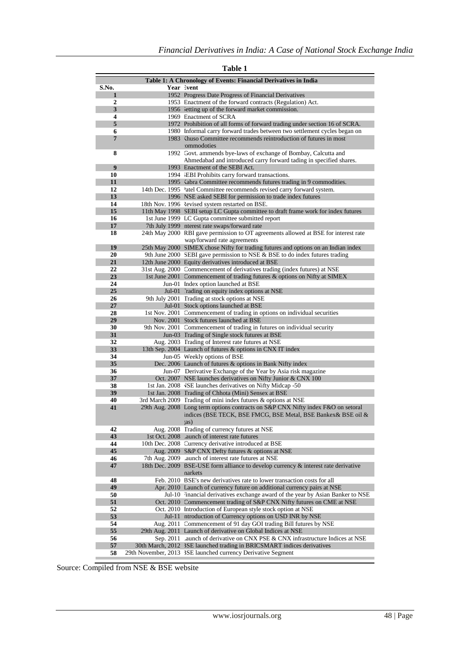| Table 1: A Chronology of Events: Financial Derivatives in India |                                 |                                                                                                                                        |  |  |  |
|-----------------------------------------------------------------|---------------------------------|----------------------------------------------------------------------------------------------------------------------------------------|--|--|--|
| S.No.                                                           |                                 | Year lvent                                                                                                                             |  |  |  |
| 1                                                               |                                 | 1952 Progress Date Progress of Financial Derivatives                                                                                   |  |  |  |
| 2                                                               |                                 | 1953 Enactment of the forward contracts (Regulation) Act.                                                                              |  |  |  |
| 3                                                               |                                 | 1956 letting up of the forward market commission.                                                                                      |  |  |  |
| 4<br>5                                                          |                                 | 1969 Enactment of SCRA<br>1972 Prohibition of all forms of forward trading under section 16 of SCRA.                                   |  |  |  |
| 6                                                               |                                 | 1980 Informal carry forward trades between two settlement cycles began on                                                              |  |  |  |
| $7\phantom{.0}$                                                 |                                 | 1983 Committee recommends reintroduction of futures in most                                                                            |  |  |  |
|                                                                 |                                 | ommodoties                                                                                                                             |  |  |  |
| 8                                                               |                                 | 1992 Govt. ammends bye-laws of exchange of Bombay, Calcutta and                                                                        |  |  |  |
|                                                                 |                                 | Ahmedabad and introduced carry forward tading in specified shares.                                                                     |  |  |  |
| 9                                                               |                                 | 1993 Enactment of the SEBI Act.                                                                                                        |  |  |  |
| 10                                                              |                                 | 1994 EBI Prohibits carry forward transactions.                                                                                         |  |  |  |
| 11                                                              |                                 | 1995 <abra 9="" committee="" commodities.<="" futures="" in="" recommends="" th="" trading=""></abra>                                  |  |  |  |
| 12                                                              |                                 | 14th Dec. 1995 'atel Committee recommends revised carry forward system.                                                                |  |  |  |
| 13                                                              |                                 | 1996 NSE asked SEBI for permission to trade index futures                                                                              |  |  |  |
| 14                                                              |                                 | 18th Nov. 1996 levised system restarted on BSE.                                                                                        |  |  |  |
| 15<br>16                                                        |                                 | 11th May 1998 SEBI setup LC Gupta committee to draft frame work for index futures<br>1st June 1999 LC Gupta committee submitted report |  |  |  |
| 17                                                              |                                 | 7th July 1999 nterest rate swaps/forward rate                                                                                          |  |  |  |
| 18                                                              |                                 | 24th May 2000 RBI gave permission to OT agreements allowed at BSE for interest rate                                                    |  |  |  |
|                                                                 |                                 | wap/forward rate agreements                                                                                                            |  |  |  |
| 19                                                              |                                 | 25th May 2000 SIMEX chose Nifty for trading futures and options on an Indian index                                                     |  |  |  |
| 20                                                              |                                 | 9th June 2000 SEBI gave permission to NSE & BSE to do index futures trading                                                            |  |  |  |
| 21                                                              |                                 | 12th June 2000 Equity derivatives introduced at BSE                                                                                    |  |  |  |
| 22                                                              |                                 | 31st Aug. 2000 Commencement of derivatives trading (index futures) at NSE                                                              |  |  |  |
| 23                                                              |                                 | 1st June 2001 Commencement of trading futures & options on Nifty at SIMEX                                                              |  |  |  |
| 24                                                              |                                 | Jun-01 Index option launched at BSE                                                                                                    |  |  |  |
| 25                                                              |                                 | Jul-01 rading on equity index options at NSE                                                                                           |  |  |  |
| 26                                                              |                                 | 9th July 2001 Trading at stock options at NSE                                                                                          |  |  |  |
| 27<br>28                                                        |                                 | Jul-01 Stock options launched at BSE<br>1st Nov. 2001 Commencement of trading in options on individual securities                      |  |  |  |
| 29                                                              |                                 | Nov. 2001 Stock futures launched at BSE                                                                                                |  |  |  |
| 30                                                              |                                 | 9th Nov. 2001 Commencement of trading in futures on individual security                                                                |  |  |  |
| 31                                                              |                                 | Jun-03 Trading of Single stock futures at BSE                                                                                          |  |  |  |
| 32                                                              |                                 | Aug. 2003 Trading of Interest rate futures at NSE                                                                                      |  |  |  |
| 33                                                              |                                 | 13th Sep. 2004 Launch of futures & options in CNX IT index                                                                             |  |  |  |
| 34                                                              |                                 | Jun-05 Weekly options of BSE                                                                                                           |  |  |  |
| 35                                                              |                                 | Dec. 2006 Launch of futures & options in Bank Nifty index                                                                              |  |  |  |
| 36                                                              |                                 | Jun-07 Derivative Exchange of the Year by Asia risk magazine                                                                           |  |  |  |
| 37                                                              |                                 | Oct. 2007 NSE launches derivatives on Nifty Junior & CNX 100<br>1st Jan. 2008 VSE launches derivatives on Nifty Midcap -50             |  |  |  |
| 38<br>39                                                        |                                 | 1st Jan. 2008 Trading of Chhota (Mini) Sensex at BSE                                                                                   |  |  |  |
| 40                                                              |                                 | 3rd March 2009 Trading of mini index futures & options at NSE                                                                          |  |  |  |
| 41                                                              | 29th Aug. 2008                  | Long term options contracts on S&P CNX Nifty index F&O on setoral                                                                      |  |  |  |
|                                                                 |                                 | indices (BSE TECK, BSE FMCG, BSE Metal, BSE Bankex & BSE oil &                                                                         |  |  |  |
|                                                                 |                                 | $\left( as\right)$                                                                                                                     |  |  |  |
| 42                                                              | Aug. 2008                       | Trading of currency futures at NSE                                                                                                     |  |  |  |
| 43                                                              | 1st Oct. 2008                   | aunch of interest rate futures                                                                                                         |  |  |  |
| 44                                                              | 10th Dec. 2008                  | Currency derivative introduced at BSE                                                                                                  |  |  |  |
| 45                                                              | Aug. 2009                       | S&P CNX Defty futures & options at NSE                                                                                                 |  |  |  |
| 46<br>47                                                        | 7th Aug. 2009<br>18th Dec. 2009 | Launch of interest rate futures at NSE<br>BSE-USE form alliance to develop currency & interest rate derivative                         |  |  |  |
|                                                                 |                                 | narkets                                                                                                                                |  |  |  |
| 48                                                              |                                 | Feb. 2010 BSE's new derivatives rate to lower transaction costs for all                                                                |  |  |  |
| 49                                                              |                                 | Apr. 2010 Launch of currency future on additional currency pairs at NSE                                                                |  |  |  |
| 50                                                              |                                 | Jul-10 <sup>3</sup> inancial derivatives exchange award of the year by Asian Banker to NSE                                             |  |  |  |
| 51                                                              |                                 | Oct. 2010 Commencement trading of S&P CNX Nifty futures on CME at NSE                                                                  |  |  |  |
| 52                                                              |                                 | Oct. 2010 Introduction of European style stock option at NSE                                                                           |  |  |  |
| 53                                                              | $Jul-11$                        | ntroduction of Currency options on USD INR by NSE                                                                                      |  |  |  |
| 54                                                              | Aug. 2011                       | Commencement of 91 day GOI trading Bill futures by NSE                                                                                 |  |  |  |
| 55                                                              | 29th Aug. 2011                  | Launch of derivative on Global Indices at NSE                                                                                          |  |  |  |
| 56                                                              | Sep. 2011                       | Launch of derivative on CNX PSE & CNX infrastructure Indices at NSE                                                                    |  |  |  |
| 57                                                              | 30th March, 2012                | 3SE launched trading in BRICSMART indices derivatives                                                                                  |  |  |  |
| 58                                                              |                                 | 29th November, 2013 3SE launched currency Derivative Segment                                                                           |  |  |  |

## **Table 1**

Source: Compiled from NSE & BSE website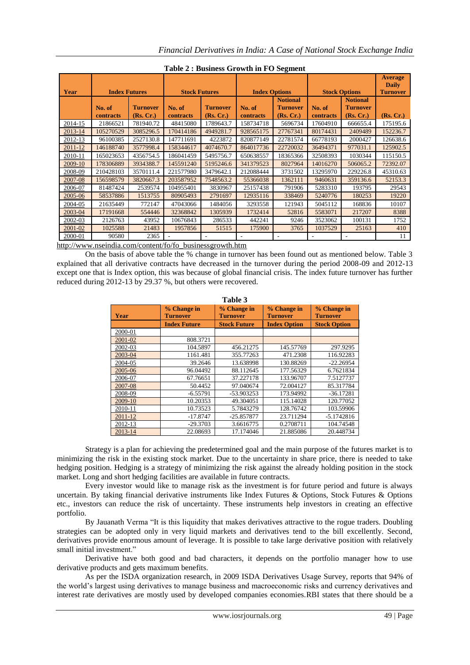| Year    | <b>Index Futures</b>       |                              | <b>Stock Futures</b> |                              | <b>Index Options</b><br><b>Stock Options</b> |                                                 |                     | <b>Average</b><br><b>Daily</b><br><b>Turnover</b> |           |
|---------|----------------------------|------------------------------|----------------------|------------------------------|----------------------------------------------|-------------------------------------------------|---------------------|---------------------------------------------------|-----------|
|         | No. of<br><b>contracts</b> | <b>Turnover</b><br>(Rs, Cr.) | No. of<br>contracts  | <b>Turnover</b><br>(Rs, Cr.) | No. of<br>contracts                          | <b>Notional</b><br><b>Turnover</b><br>(Rs, Cr.) | No. of<br>contracts | <b>Notional</b><br><b>Turnover</b><br>(Rs, Cr.)   | (Rs, Cr.) |
| 2014-15 | 21866521                   | 781940.72                    | 48415080             | 1789643.7                    | 158734718                                    | 5696734                                         | 17604910            | 666655.4                                          | 175195.6  |
| 2013-14 | 105270529                  | 3085296.5                    | 170414186            | 4949281.7                    | 928565175                                    | 27767341                                        | 80174431            | 2409489                                           | 152236.7  |
| 2012-13 | 96100385                   | 2527130.8                    | 147711691            | 4223872                      | 820877149                                    | 22781574                                        | 66778193            | 2000427                                           | 126638.6  |
| 2011-12 | 146188740                  | 3577998.4                    | 158344617            | 4074670.7                    | 864017736                                    | 22720032                                        | 36494371            | 977031.1                                          | 125902.5  |
| 2010-11 | 165023653                  | 4356754.5                    | 186041459            | 5495756.7                    | 650638557                                    | 18365366                                        | 32508393            | 1030344                                           | 115150.5  |
| 2009-10 | 178306889                  | 3934388.7                    | 145591240            | 5195246.6                    | 341379523                                    | 8027964                                         | 14016270            | 506065.2                                          | 72392.07  |
| 2008-09 | 210428103                  | 3570111.4                    | 221577980            | 3479642.1                    | 212088444                                    | 3731502                                         | 13295970            | 229226.8                                          | 45310.63  |
| 2007-08 | 156598579                  | 3820667.3                    | 203587952            | 7548563.2                    | 55366038                                     | 1362111                                         | 9460631             | 359136.6                                          | 52153.3   |
| 2006-07 | 81487424                   | 2539574                      | 104955401            | 3830967                      | 25157438                                     | 791906                                          | 5283310             | 193795                                            | 29543     |
| 2005-06 | 58537886                   | 1513755                      | 80905493             | 2791697                      | 12935116                                     | 338469                                          | 5240776             | 180253                                            | 19220     |
| 2004-05 | 21635449                   | 772147                       | 47043066             | 1484056                      | 3293558                                      | 121943                                          | 5045112             | 168836                                            | 10107     |
| 2003-04 | 17191668                   | 554446                       | 32368842             | 1305939                      | 1732414                                      | 52816                                           | 5583071             | 217207                                            | 8388      |
| 2002-03 | 2126763                    | 43952                        | 10676843             | 286533                       | 442241                                       | 9246                                            | 3523062             | 100131                                            | 1752      |
| 2001-02 | 1025588                    | 21483                        | 1957856              | 51515                        | 175900                                       | 3765                                            | 1037529             | 25163                                             | 410       |
| 2000-01 | 90580                      | 2365                         | ٠                    | $\overline{a}$               |                                              |                                                 |                     |                                                   | 11        |

**Table 2 : Business Growth in FO Segment**

[http://www.nseindia.com/content/fo/fo\\_businessgrowth.htm](http://www.nseindia.com/content/fo/fo_businessgrowth.htm)

On the basis of above table the % change in turnover has been found out as mentioned below. Table 3 explained that all derivative contracts have decreased in the turnover during the period 2008-09 and 2012-13 except one that is Index option, this was because of global financial crisis. The index future turnover has further reduced during 2012-13 by 29.37 %, but others were recovered.

| Table 3 |                                |                                |                                |                                |  |  |
|---------|--------------------------------|--------------------------------|--------------------------------|--------------------------------|--|--|
| Year    | % Change in<br><b>Turnover</b> | % Change in<br><b>Turnover</b> | % Change in<br><b>Turnover</b> | % Change in<br><b>Turnover</b> |  |  |
|         | <b>Index Future</b>            | <b>Stock Future</b>            | <b>Index Option</b>            | <b>Stock Option</b>            |  |  |
| 2000-01 |                                |                                |                                |                                |  |  |
| 2001-02 | 808.3721                       |                                |                                |                                |  |  |
| 2002-03 | 104.5897                       | 456.21275                      | 145.57769                      | 297.9295                       |  |  |
| 2003-04 | 1161.481                       | 355.77263                      | 471.2308                       | 116.92283                      |  |  |
| 2004-05 | 39.2646                        | 13.638998                      | 130.88269                      | $-22.26954$                    |  |  |
| 2005-06 | 96.04492                       | 88.112645                      | 177.56329                      | 6.7621834                      |  |  |
| 2006-07 | 67.76651                       | 37.227178                      | 133.96707                      | 7.5127737                      |  |  |
| 2007-08 | 50.4452                        | 97.040674                      | 72.004127                      | 85.317784                      |  |  |
| 2008-09 | $-6.55791$                     | -53.903253                     | 173.94992                      | $-36.17281$                    |  |  |
| 2009-10 | 10.20353                       | 49.304051                      | 115.14028                      | 120.77052                      |  |  |
| 2010-11 | 10.73523                       | 5.7843279                      | 128.76742                      | 103.59906                      |  |  |
| 2011-12 | $-17.8747$                     | $-25.857877$                   | 23.711294                      | $-5.1742816$                   |  |  |
| 2012-13 | $-29.3703$                     | 3.6616775                      | 0.2708711                      | 104.74548                      |  |  |
| 2013-14 | 22.08693                       | 17.174046                      | 21.885086                      | 20.448734                      |  |  |

Strategy is a plan for achieving the predetermined goal and the main purpose of the futures market is to minimizing the risk in the existing stock market. Due to the uncertainty in share price, there is needed to take hedging position. Hedging is a strategy of minimizing the risk against the already holding position in the stock market. Long and short hedging facilities are available in future contracts.

Every investor would like to manage risk as the investment is for future period and future is always uncertain. By taking financial derivative instruments like Index Futures & Options, Stock Futures & Options etc., investors can reduce the risk of uncertainty. These instruments help investors in creating an effective portfolio.

By Jauanath Verma "It is this liquidity that makes derivatives attractive to the rogue traders. Doubling strategies can be adopted only in very liquid markets and derivatives tend to the bill excellently. Second, derivatives provide enormous amount of leverage. It is possible to take large derivative position with relatively small initial investment."

Derivative have both good and bad characters, it depends on the portfolio manager how to use derivative products and gets maximum benefits.

As per the ISDA organization research, in 2009 ISDA Derivatives Usage Survey, reports that 94% of the world"s largest using derivatives to manage business and macroeconomic risks and currency derivatives and interest rate derivatives are mostly used by developed companies economies.RBI states that there should be a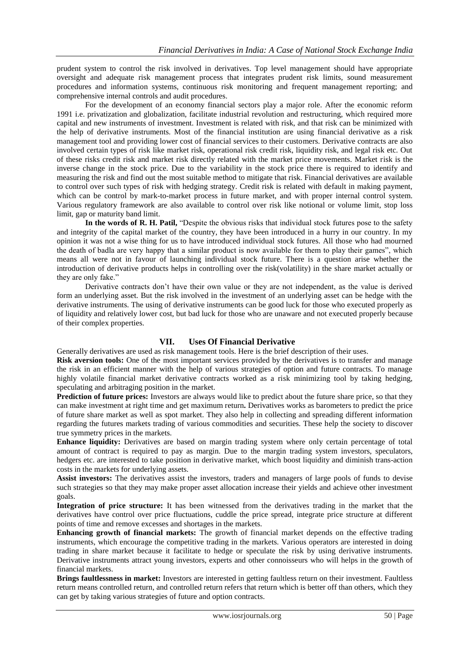prudent system to control the risk involved in derivatives. Top level management should have appropriate oversight and adequate risk management process that integrates prudent risk limits, sound measurement procedures and information systems, continuous risk monitoring and frequent management reporting; and comprehensive internal controls and audit procedures.

For the development of an economy financial sectors play a major role. After the economic reform 1991 i.e. privatization and globalization, facilitate industrial revolution and restructuring, which required more capital and new instruments of investment. Investment is related with risk, and that risk can be minimized with the help of derivative instruments. Most of the financial institution are using financial derivative as a risk management tool and providing lower cost of financial services to their customers. Derivative contracts are also involved certain types of risk like market risk, operational risk credit risk, liquidity risk, and legal risk etc. Out of these risks credit risk and market risk directly related with the market price movements. Market risk is the inverse change in the stock price. Due to the variability in the stock price there is required to identify and measuring the risk and find out the most suitable method to mitigate that risk. Financial derivatives are available to control over such types of risk with hedging strategy. Credit risk is related with default in making payment, which can be control by mark-to-market process in future market, and with proper internal control system. Various regulatory framework are also available to control over risk like notional or volume limit, stop loss limit, gap or maturity band limit.

**In the words of R. H. Patil,** "Despite the obvious risks that individual stock futures pose to the safety and integrity of the capital market of the country, they have been introduced in a hurry in our country. In my opinion it was not a wise thing for us to have introduced individual stock futures. All those who had mourned the death of badla are very happy that a similar product is now available for them to play their games", which means all were not in favour of launching individual stock future. There is a question arise whether the introduction of derivative products helps in controlling over the risk(volatility) in the share market actually or they are only fake."

Derivative contracts don"t have their own value or they are not independent, as the value is derived form an underlying asset. But the risk involved in the investment of an underlying asset can be hedge with the derivative instruments. The using of derivative instruments can be good luck for those who executed properly as of liquidity and relatively lower cost, but bad luck for those who are unaware and not executed properly because of their complex properties.

## **VII. Uses Of Financial Derivative**

Generally derivatives are used as risk management tools. Here is the brief description of their uses.

**Risk aversion tools:** One of the most important services provided by the derivatives is to transfer and manage the risk in an efficient manner with the help of various strategies of option and future contracts. To manage highly volatile financial market derivative contracts worked as a risk minimizing tool by taking hedging, speculating and arbitraging position in the market.

**Prediction of future prices:** Investors are always would like to predict about the future share price, so that they can make investment at right time and get maximum return**.** Derivatives works as barometers to predict the price of future share market as well as spot market. They also help in collecting and spreading different information regarding the futures markets trading of various commodities and securities. These help the society to discover true symmetry prices in the markets.

**Enhance liquidity:** Derivatives are based on margin trading system where only certain percentage of total amount of contract is required to pay as margin. Due to the margin trading system investors, speculators, hedgers etc. are interested to take position in derivative market, which boost liquidity and diminish trans-action costs in the markets for underlying assets.

**Assist investors:** The derivatives assist the investors, traders and managers of large pools of funds to devise such strategies so that they may make proper asset allocation increase their yields and achieve other investment goals.

**Integration of price structure:** It has been witnessed from the derivatives trading in the market that the derivatives have control over price fluctuations, cuddle the price spread, integrate price structure at different points of time and remove excesses and shortages in the markets.

**Enhancing growth of financial markets:** The growth of financial market depends on the effective trading instruments, which encourage the competitive trading in the markets. Various operators are interested in doing trading in share market because it facilitate to hedge or speculate the risk by using derivative instruments. Derivative instruments attract young investors, experts and other connoisseurs who will helps in the growth of financial markets.

**Brings faultlessness in market:** Investors are interested in getting faultless return on their investment. Faultless return means controlled return, and controlled return refers that return which is better off than others, which they can get by taking various strategies of future and option contracts.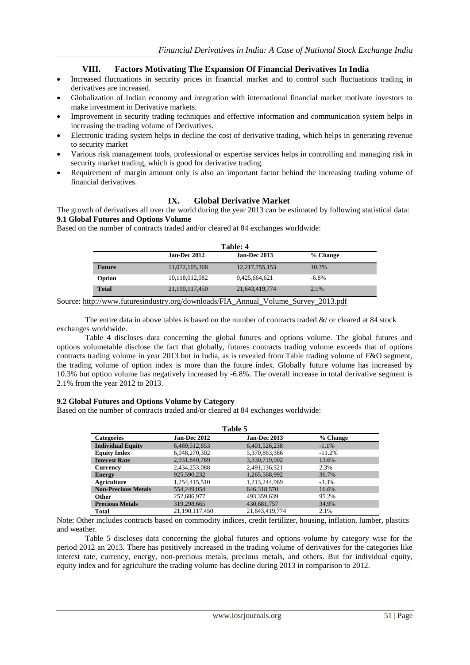## **VIII. Factors Motivating The Expansion Of Financial Derivatives In India**

- Increased fluctuations in security prices in financial market and to control such fluctuations trading in derivatives are increased.
- Globalization of Indian economy and integration with international financial market motivate investors to make investment in Derivative markets.
- Improvement in security trading techniques and effective information and communication system helps in increasing the trading volume of Derivatives.
- Electronic trading system helps in decline the cost of derivative trading, which helps in generating revenue to security market
- Various risk management tools, professional or expertise services helps in controlling and managing risk in security market trading, which is good for derivative trading.
- Requirement of margin amount only is also an important factor behind the increasing trading volume of financial derivatives.

## **IX. Global Derivative Market**

The growth of derivatives all over the world during the year 2013 can be estimated by following statistical data: **9.1 Global Futures and Options Volume** 

Based on the number of contracts traded and/or cleared at 84 exchanges worldwide:

|                                                                                    | Table: 4                                        |                |          |  |  |
|------------------------------------------------------------------------------------|-------------------------------------------------|----------------|----------|--|--|
|                                                                                    | <b>Jan-Dec 2013</b><br>Jan-Dec 2012<br>% Change |                |          |  |  |
| <b>Future</b>                                                                      | 11,072,105,368                                  | 12,217,755,153 | 10.3%    |  |  |
| Option                                                                             | 10,118,012,082                                  | 9,425,664,621  | $-6.8\%$ |  |  |
| <b>Total</b>                                                                       | 21,190,117,450                                  | 21,643,419,774 | 2.1%     |  |  |
| Source: http://www.futuresindustry.org/downloads/FIA Annual Volume Survey 2013.pdf |                                                 |                |          |  |  |

The entire data in above tables is based on the number of contracts traded  $\&/$  or cleared at 84 stock exchanges worldwide.

Table 4 discloses data concerning the global futures and options volume. The global futures and options volumetable disclose the fact that globally, futures contracts trading volume exceeds that of options contracts trading volume in year 2013 but in India, as is revealed from Table trading volume of F&O segment, the trading volume of option index is more than the future index. Globally future volume has increased by 10.3% but option volume has negatively increased by -6.8%. The overall increase in total derivative segment is 2.1% from the year 2012 to 2013.

#### **9.2 Global Futures and Options Volume by Category**

Based on the number of contracts traded and/or cleared at 84 exchanges worldwide:

| Table 5                    |                |                     |          |  |
|----------------------------|----------------|---------------------|----------|--|
| <b>Categories</b>          | Jan-Dec 2012   | <b>Jan-Dec 2013</b> | % Change |  |
| <b>Individual Equity</b>   | 6,469,512,853  | 6,401,526,238       | $-1.1%$  |  |
| <b>Equity Index</b>        | 6,048,270,302  | 5,370,863,386       | $-11.2%$ |  |
| <b>Interest Rate</b>       | 2,931,840,769  | 3,330,719,902       | 13.6%    |  |
| <b>Currency</b>            | 2,434,253,088  | 2,491,136,321       | 2.3%     |  |
| <b>Energy</b>              | 925,590,232    | 1,265,568,992       | 36.7%    |  |
| <b>Agriculture</b>         | 1.254.415.510  | 1.213.244.969       | $-3.3%$  |  |
| <b>Non-Precious Metals</b> | 554,249,054    | 646,318,570         | 16.6%    |  |
| <b>Other</b>               | 252,686,977    | 493,359,639         | 95.2%    |  |
| <b>Precious Metals</b>     | 319,298,665    | 430,681,757         | 34.9%    |  |
| <b>Total</b>               | 21.190.117.450 | 21.643.419.774      | 2.1%     |  |

Note: Other includes contracts based on commodity indices, credit fertilizer, housing, inflation, lumber, plastics and weather.

Table 5 discloses data concerning the global futures and options volume by category wise for the period 2012 an 2013. There has positively increased in the trading volume of derivatives for the categories like interest rate, currency, energy, non-precious metals, precious metals, and others. But for individual equity, equity index and for agriculture the trading volume has decline during 2013 in comparison to 2012.